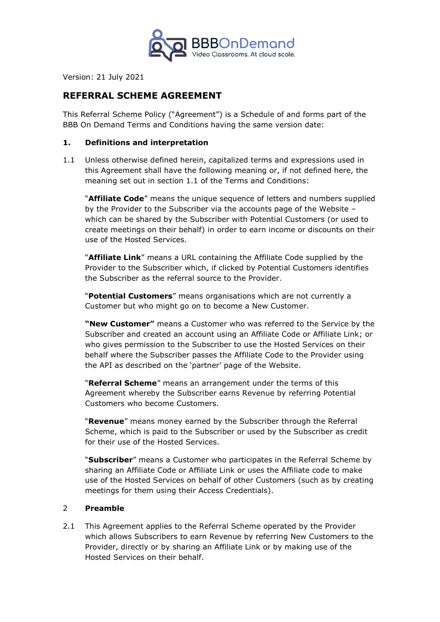

Version: 21 July 2021

# **REFERRAL SCHEME AGREEMENT**

This Referral Scheme Policy ("Agreement") is a Schedule of and forms part of the BBB On Demand Terms and Conditions having the same version date:

#### **1. Definitions and interpretation**

1.1 Unless otherwise defined herein, capitalized terms and expressions used in this Agreement shall have the following meaning or, if not defined here, the meaning set out in section 1.1 of the Terms and Conditions:

"**Affiliate Code**" means the unique sequence of letters and numbers supplied by the Provider to the Subscriber via the accounts page of the Website – which can be shared by the Subscriber with Potential Customers (or used to create meetings on their behalf) in order to earn income or discounts on their use of the Hosted Services.

"**Affiliate Link**" means a URL containing the Affiliate Code supplied by the Provider to the Subscriber which, if clicked by Potential Customers identifies the Subscriber as the referral source to the Provider.

"**Potential Customers**" means organisations which are not currently a Customer but who might go on to become a New Customer.

**"New Customer"** means a Customer who was referred to the Service by the Subscriber and created an account using an Affiliate Code or Affiliate Link; or who gives permission to the Subscriber to use the Hosted Services on their behalf where the Subscriber passes the Affiliate Code to the Provider using the API as described on the 'partner' page of the Website.

"**Referral Scheme**" means an arrangement under the terms of this Agreement whereby the Subscriber earns Revenue by referring Potential Customers who become Customers.

"**Revenue**" means money earned by the Subscriber through the Referral Scheme, which is paid to the Subscriber or used by the Subscriber as credit for their use of the Hosted Services.

"**Subscriber**" means a Customer who participates in the Referral Scheme by sharing an Affiliate Code or Affiliate Link or uses the Affiliate code to make use of the Hosted Services on behalf of other Customers (such as by creating meetings for them using their Access Credentials).

### 2 **Preamble**

2.1 This Agreement applies to the Referral Scheme operated by the Provider which allows Subscribers to earn Revenue by referring New Customers to the Provider, directly or by sharing an Affiliate Link or by making use of the Hosted Services on their behalf.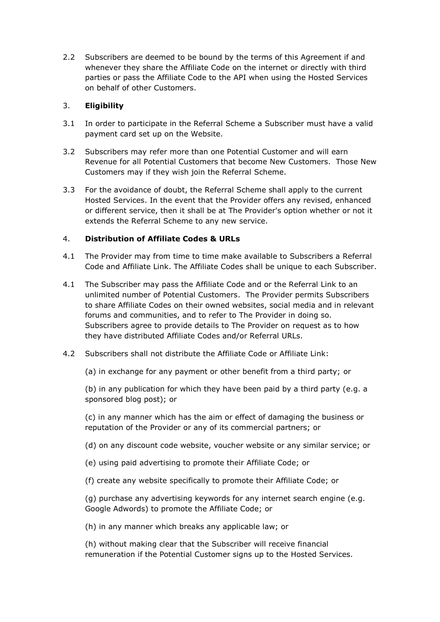2.2 Subscribers are deemed to be bound by the terms of this Agreement if and whenever they share the Affiliate Code on the internet or directly with third parties or pass the Affiliate Code to the API when using the Hosted Services on behalf of other Customers.

## 3. **Eligibility**

- 3.1 In order to participate in the Referral Scheme a Subscriber must have a valid payment card set up on the Website.
- 3.2 Subscribers may refer more than one Potential Customer and will earn Revenue for all Potential Customers that become New Customers. Those New Customers may if they wish join the Referral Scheme.
- 3.3 For the avoidance of doubt, the Referral Scheme shall apply to the current Hosted Services. In the event that the Provider offers any revised, enhanced or different service, then it shall be at The Provider's option whether or not it extends the Referral Scheme to any new service.

## 4. **Distribution of Affiliate Codes & URLs**

- 4.1 The Provider may from time to time make available to Subscribers a Referral Code and Affiliate Link. The Affiliate Codes shall be unique to each Subscriber.
- 4.1 The Subscriber may pass the Affiliate Code and or the Referral Link to an unlimited number of Potential Customers. The Provider permits Subscribers to share Affiliate Codes on their owned websites, social media and in relevant forums and communities, and to refer to The Provider in doing so. Subscribers agree to provide details to The Provider on request as to how they have distributed Affiliate Codes and/or Referral URLs.
- 4.2 Subscribers shall not distribute the Affiliate Code or Affiliate Link:
	- (a) in exchange for any payment or other benefit from a third party; or

(b) in any publication for which they have been paid by a third party (e.g. a sponsored blog post); or

(c) in any manner which has the aim or effect of damaging the business or reputation of the Provider or any of its commercial partners; or

- (d) on any discount code website, voucher website or any similar service; or
- (e) using paid advertising to promote their Affiliate Code; or
- (f) create any website specifically to promote their Affiliate Code; or

(g) purchase any advertising keywords for any internet search engine (e.g. Google Adwords) to promote the Affiliate Code; or

(h) in any manner which breaks any applicable law; or

(h) without making clear that the Subscriber will receive financial remuneration if the Potential Customer signs up to the Hosted Services.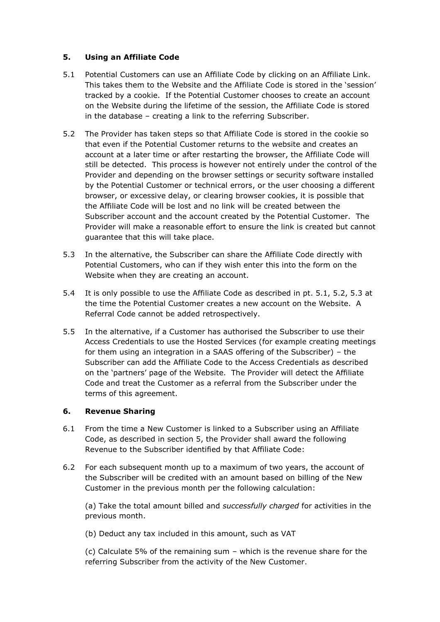### **5. Using an Affiliate Code**

- 5.1 Potential Customers can use an Affiliate Code by clicking on an Affiliate Link. This takes them to the Website and the Affiliate Code is stored in the 'session' tracked by a cookie. If the Potential Customer chooses to create an account on the Website during the lifetime of the session, the Affiliate Code is stored in the database – creating a link to the referring Subscriber.
- 5.2 The Provider has taken steps so that Affiliate Code is stored in the cookie so that even if the Potential Customer returns to the website and creates an account at a later time or after restarting the browser, the Affiliate Code will still be detected. This process is however not entirely under the control of the Provider and depending on the browser settings or security software installed by the Potential Customer or technical errors, or the user choosing a different browser, or excessive delay, or clearing browser cookies, it is possible that the Affiliate Code will be lost and no link will be created between the Subscriber account and the account created by the Potential Customer. The Provider will make a reasonable effort to ensure the link is created but cannot guarantee that this will take place.
- 5.3 In the alternative, the Subscriber can share the Affiliate Code directly with Potential Customers, who can if they wish enter this into the form on the Website when they are creating an account.
- 5.4 It is only possible to use the Affiliate Code as described in pt. 5.1, 5.2, 5.3 at the time the Potential Customer creates a new account on the Website. A Referral Code cannot be added retrospectively.
- 5.5 In the alternative, if a Customer has authorised the Subscriber to use their Access Credentials to use the Hosted Services (for example creating meetings for them using an integration in a SAAS offering of the Subscriber) – the Subscriber can add the Affiliate Code to the Access Credentials as described on the 'partners' page of the Website. The Provider will detect the Affiliate Code and treat the Customer as a referral from the Subscriber under the terms of this agreement.

### **6. Revenue Sharing**

- 6.1 From the time a New Customer is linked to a Subscriber using an Affiliate Code, as described in section 5, the Provider shall award the following Revenue to the Subscriber identified by that Affiliate Code:
- 6.2 For each subsequent month up to a maximum of two years, the account of the Subscriber will be credited with an amount based on billing of the New Customer in the previous month per the following calculation:

(a) Take the total amount billed and *successfully charged* for activities in the previous month.

(b) Deduct any tax included in this amount, such as VAT

(c) Calculate 5% of the remaining sum – which is the revenue share for the referring Subscriber from the activity of the New Customer.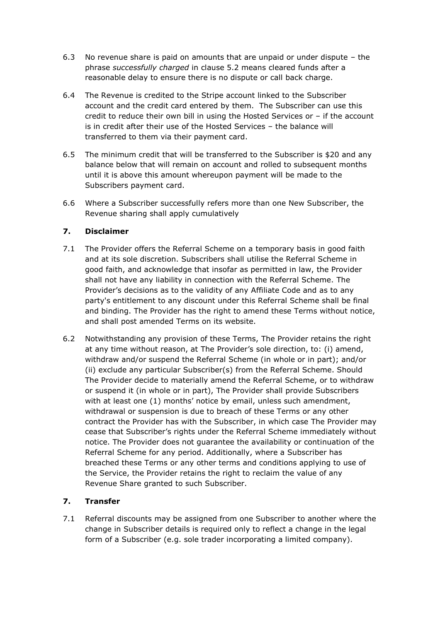- 6.3 No revenue share is paid on amounts that are unpaid or under dispute the phrase *successfully charged* in clause 5.2 means cleared funds after a reasonable delay to ensure there is no dispute or call back charge.
- 6.4 The Revenue is credited to the Stripe account linked to the Subscriber account and the credit card entered by them. The Subscriber can use this credit to reduce their own bill in using the Hosted Services or – if the account is in credit after their use of the Hosted Services – the balance will transferred to them via their payment card.
- 6.5 The minimum credit that will be transferred to the Subscriber is \$20 and any balance below that will remain on account and rolled to subsequent months until it is above this amount whereupon payment will be made to the Subscribers payment card.
- 6.6 Where a Subscriber successfully refers more than one New Subscriber, the Revenue sharing shall apply cumulatively

## **7. Disclaimer**

- 7.1 The Provider offers the Referral Scheme on a temporary basis in good faith and at its sole discretion. Subscribers shall utilise the Referral Scheme in good faith, and acknowledge that insofar as permitted in law, the Provider shall not have any liability in connection with the Referral Scheme. The Provider's decisions as to the validity of any Affiliate Code and as to any party's entitlement to any discount under this Referral Scheme shall be final and binding. The Provider has the right to amend these Terms without notice, and shall post amended Terms on its website.
- 6.2 Notwithstanding any provision of these Terms, The Provider retains the right at any time without reason, at The Provider's sole direction, to: (i) amend, withdraw and/or suspend the Referral Scheme (in whole or in part); and/or (ii) exclude any particular Subscriber(s) from the Referral Scheme. Should The Provider decide to materially amend the Referral Scheme, or to withdraw or suspend it (in whole or in part), The Provider shall provide Subscribers with at least one (1) months' notice by email, unless such amendment, withdrawal or suspension is due to breach of these Terms or any other contract the Provider has with the Subscriber, in which case The Provider may cease that Subscriber's rights under the Referral Scheme immediately without notice. The Provider does not guarantee the availability or continuation of the Referral Scheme for any period. Additionally, where a Subscriber has breached these Terms or any other terms and conditions applying to use of the Service, the Provider retains the right to reclaim the value of any Revenue Share granted to such Subscriber.

### **7. Transfer**

7.1 Referral discounts may be assigned from one Subscriber to another where the change in Subscriber details is required only to reflect a change in the legal form of a Subscriber (e.g. sole trader incorporating a limited company).